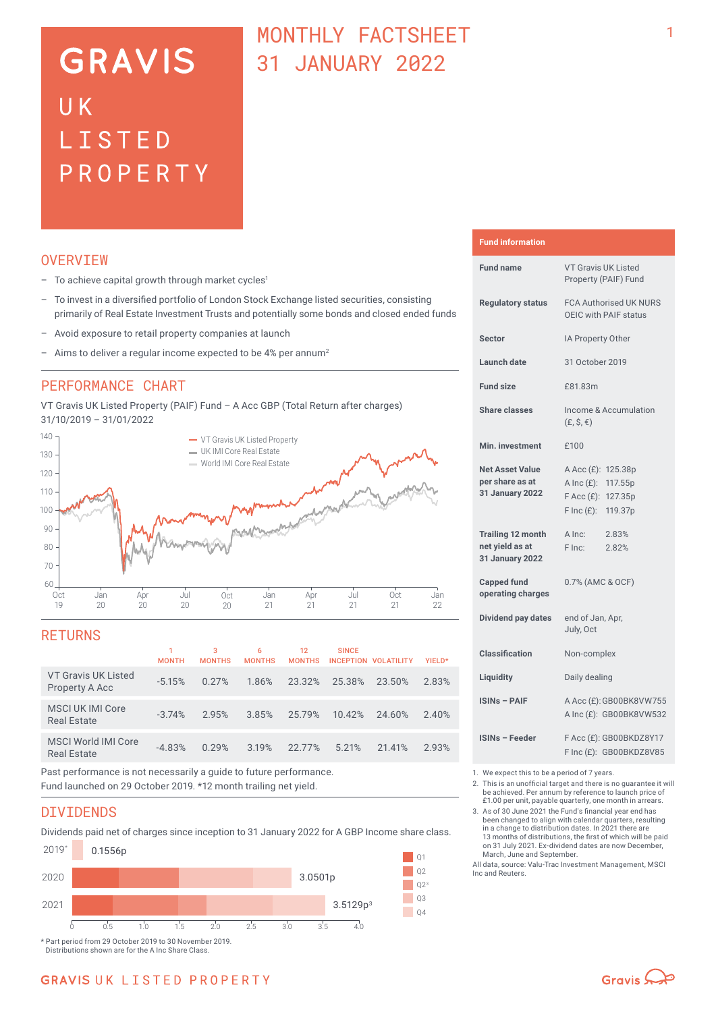# **GRAVIS** UK LISTED PROPERTY

# MONTHLY FACTSHEET 31 JANUARY 2022

### **OVERVTEW**

- $-$  To achieve capital growth through market cycles<sup>1</sup>
- To invest in a diversified portfolio of London Stock Exchange listed securities, consisting primarily of Real Estate Investment Trusts and potentially some bonds and closed ended funds
- Avoid exposure to retail property companies at launch
- Aims to deliver a regular income expected to be 4% per annum<sup>2</sup>

### PERFORMANCE CHART

VT Gravis UK Listed Property (PAIF) Fund – A Acc GBP (Total Return after charges) 31/10/2019 – 31/01/2022



### **RETURNS**

|                                                  | <b>MONTH</b> | 3<br><b>MONTHS</b> | 6<br><b>MONTHS</b> | 12<br><b>MONTHS</b> | <b>SINCE</b> | INCEPTION VOLATILITY | YIELD* |
|--------------------------------------------------|--------------|--------------------|--------------------|---------------------|--------------|----------------------|--------|
| VT Gravis UK Listed<br>Property A Acc            | $-5.15%$     | 0.27%              | 1.86%              | 23.32%              | 25.38%       | 23.50%               | 2.83%  |
| <b>MSCI UK IMI Core</b><br><b>Real Estate</b>    | $-3.74%$     | 2.95%              | 3.85%              | 25.79%              | 10.42%       | 24.60%               | 2.40%  |
| <b>MSCI World IMI Core</b><br><b>Real Estate</b> | $-4.83%$     | 0.29%              | 3.19%              | 22.77%              | 5.21%        | 21.41%               | 2.93%  |
|                                                  |              |                    |                    |                     |              |                      |        |

Past performance is not necessarily a guide to future performance. Fund launched on 29 October 2019. \*12 month trailing net yield.

### DIVIDENDS

Dividends paid net of charges since inception to 31 January 2022 for A GBP Income share class.



Distributions shown are for the A Inc Share Class.

**Fund information**

| <b>Fund name</b>                                                      | VT Gravis UK Listed<br>Property (PAIF) Fund                                                                    |  |  |  |
|-----------------------------------------------------------------------|----------------------------------------------------------------------------------------------------------------|--|--|--|
| <b>Regulatory status</b>                                              | <b>FCA Authorised UK NURS</b><br>OEIC with PAIF status                                                         |  |  |  |
| <b>Sector</b>                                                         | IA Property Other                                                                                              |  |  |  |
| <b>Launch date</b>                                                    | 31 October 2019                                                                                                |  |  |  |
| <b>Fund size</b>                                                      | £81.83m                                                                                                        |  |  |  |
| Share classes                                                         | Income & Accumulation<br>$(E, \hat{S}, \epsilon)$                                                              |  |  |  |
| Min. investment                                                       | £100                                                                                                           |  |  |  |
| <b>Net Asset Value</b><br>per share as at<br><b>31 January 2022</b>   | A Acc (£): 125.38p<br>A Inc $(E)$ :<br>117.55p<br>$F$ Acc $(E)$ :<br>127.35p<br>$F \text{Inc}(f)$ :<br>119.37p |  |  |  |
| <b>Trailing 12 month</b><br>net yield as at<br><b>31 January 2022</b> | A Inc:<br>2.83%<br>F Inc:<br>2.82%                                                                             |  |  |  |
| <b>Capped fund</b><br>operating charges                               | 0.7% (AMC & OCF)                                                                                               |  |  |  |
| Dividend pay dates                                                    | end of Jan, Apr,<br>July, Oct                                                                                  |  |  |  |
| <b>Classification</b>                                                 | Non-complex                                                                                                    |  |  |  |
| Liquidity                                                             | Daily dealing                                                                                                  |  |  |  |
| <b>ISINs - PAIF</b>                                                   | A Acc (£): GB00BK8VW755<br>A Inc (£): GB00BK8VW532                                                             |  |  |  |
| <b>ISINs - Feeder</b>                                                 | F Acc (£): GB00BKDZ8Y17<br>F Inc (£): GB00BKDZ8V85                                                             |  |  |  |

1. We expect this to be a period of 7 years.<br>2. This is an unofficial target and there is n

2. This is an unofficial target and there is no guarantee it will be achieved. Per annum by reference to launch price of £1.00 per unit, payable quarterly, one month in arrears.

3. As of 30 June 2021 the Fund's financial year end has been changed to align with calendar quarters, resulting in a change to distribution dates. In 2021 there are 13 months of distributions, the first of which will be paid on 31 July 2021. Ex-dividend dates are now December, March, June and September.

All data, source: Valu-Trac Investment Management, MSCI Inc and Reuters.

# **GRAVIS UK LISTED PROPERTY**

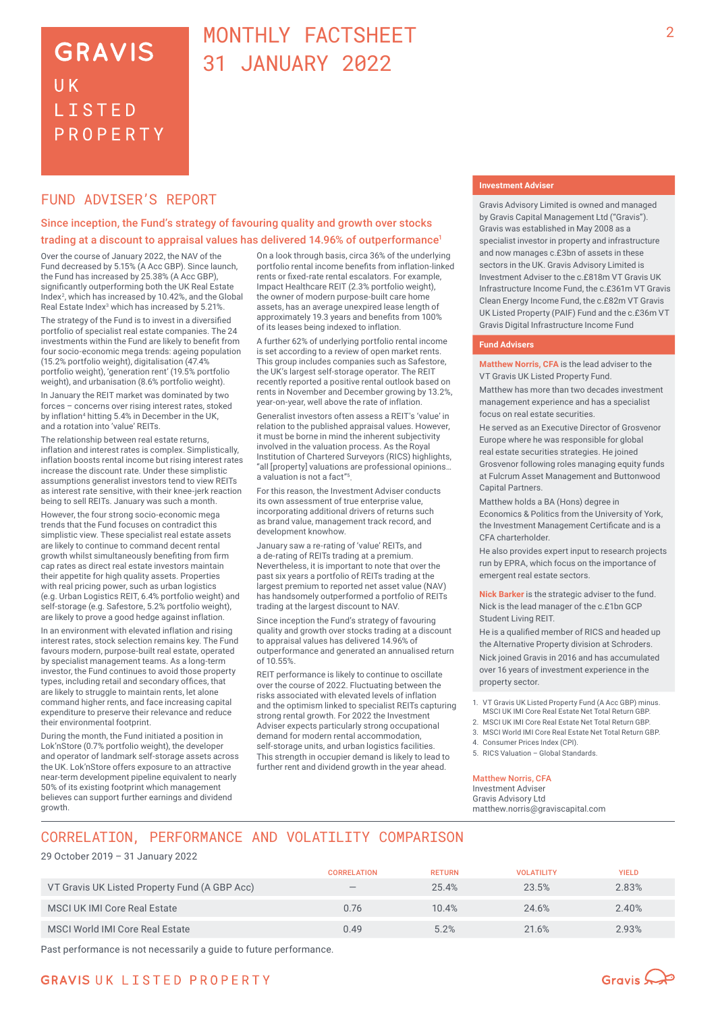# **GRAVIS** UK **LISTED** PROPERTY

# MONTHLY FACTSHEET 31 JANUARY 2022

## FUND ADVISER'S REPORT

### Since inception, the Fund's strategy of favouring quality and growth over stocks trading at a discount to appraisal values has delivered 14.96% of outperformance<sup>1</sup>

Over the course of January 2022, the NAV of the Fund decreased by 5.15% (A Acc GBP). Since launch, the Fund has increased by 25.38% (A Acc GBP), significantly outperforming both the UK Real Estate Index<sup>2</sup>, which has increased by 10.42%, and the Global Real Estate Index<sup>3</sup> which has increased by 5.21%.

The strategy of the Fund is to invest in a diversified portfolio of specialist real estate companies. The 24 investments within the Fund are likely to benefit from four socio-economic mega trends: ageing population (15.2% portfolio weight), digitalisation (47.4% portfolio weight), 'generation rent' (19.5% portfolio weight), and urbanisation (8.6% portfolio weight).

In January the REIT market was dominated by two forces – concerns over rising interest rates, stoked by inflation4 hitting 5.4% in December in the UK, and a rotation into 'value' REITs.

The relationship between real estate returns, inflation and interest rates is complex. Simplistically, inflation boosts rental income but rising interest rates increase the discount rate. Under these simplistic assumptions generalist investors tend to view REITs as interest rate sensitive, with their knee-jerk reaction being to sell REITs. January was such a month.

However, the four strong socio-economic mega trends that the Fund focuses on contradict this simplistic view. These specialist real estate assets are likely to continue to command decent rental growth whilst simultaneously benefiting from firm cap rates as direct real estate investors maintain their appetite for high quality assets. Properties with real pricing power, such as urban logistics (e.g. Urban Logistics REIT, 6.4% portfolio weight) and self-storage (e.g. Safestore, 5.2% portfolio weight), are likely to prove a good hedge against inflation.

In an environment with elevated inflation and rising interest rates, stock selection remains key. The Fund favours modern, purpose-built real estate, operated by specialist management teams. As a long-term investor, the Fund continues to avoid those property types, including retail and secondary offices, that are likely to struggle to maintain rents, let alone command higher rents, and face increasing capital expenditure to preserve their relevance and reduce their environmental footprint.

During the month, the Fund initiated a position in Lok'nStore (0.7% portfolio weight), the developer and operator of landmark self-storage assets across the UK. Lok'nStore offers exposure to an attractive near‑term development pipeline equivalent to nearly 50% of its existing footprint which management believes can support further earnings and dividend growth.

On a look through basis, circa 36% of the underlying portfolio rental income benefits from inflation-linked rents or fixed-rate rental escalators. For example, Impact Healthcare REIT (2.3% portfolio weight), the owner of modern purpose-built care home assets, has an average unexpired lease length of approximately 19.3 years and benefits from 100% of its leases being indexed to inflation.

A further 62% of underlying portfolio rental income is set according to a review of open market rents. This group includes companies such as Safestore, the UK's largest self-storage operator. The REIT recently reported a positive rental outlook based on rents in November and December growing by 13.2%, year-on-year, well above the rate of inflation.

Generalist investors often assess a REIT's 'value' in relation to the published appraisal values. However, it must be borne in mind the inherent subjectivity involved in the valuation process. As the Royal Institution of Chartered Surveyors (RICS) highlights, "all [property] valuations are professional opinions… a valuation is not a fact"5.

For this reason, the Investment Adviser conducts its own assessment of true enterprise value, incorporating additional drivers of returns such as brand value, management track record, and development knowhow.

January saw a re-rating of 'value' REITs, and a de-rating of REITs trading at a premium. Nevertheless, it is important to note that over the past six years a portfolio of REITs trading at the largest premium to reported net asset value (NAV) has handsomely outperformed a portfolio of REITs trading at the largest discount to NAV.

Since inception the Fund's strategy of favouring quality and growth over stocks trading at a discount to appraisal values has delivered 14.96% of outperformance and generated an annualised return of 10.55%.

REIT performance is likely to continue to oscillate over the course of 2022. Fluctuating between the risks associated with elevated levels of inflation and the optimism linked to specialist REITs capturing strong rental growth. For 2022 the Investment Adviser expects particularly strong occupational demand for modern rental accommodation, self-storage units, and urban logistics facilities. This strength in occupier demand is likely to lead to further rent and dividend growth in the year ahead.

#### **Investment Adviser**

Gravis Advisory Limited is owned and managed by Gravis Capital Management Ltd ("Gravis"). Gravis was established in May 2008 as a specialist investor in property and infrastructure and now manages c.£3bn of assets in these sectors in the UK. Gravis Advisory Limited is Investment Adviser to the c.£818m VT Gravis UK Infrastructure Income Fund, the c.£361m VT Gravis Clean Energy Income Fund, the c.£82m VT Gravis UK Listed Property (PAIF) Fund and the c.£36m VT Gravis Digital Infrastructure Income Fund

#### **Fund Advisers**

**Matthew Norris, CFA** is the lead adviser to the VT Gravis UK Listed Property Fund.

Matthew has more than two decades investment management experience and has a specialist focus on real estate securities.

He served as an Executive Director of Grosvenor Europe where he was responsible for global real estate securities strategies. He joined Grosvenor following roles managing equity funds at Fulcrum Asset Management and Buttonwood Capital Partners.

Matthew holds a BA (Hons) degree in Economics & Politics from the University of York, the Investment Management Certificate and is a CFA charterholder.

He also provides expert input to research projects run by EPRA, which focus on the importance of emergent real estate sectors.

**Nick Barker** is the strategic adviser to the fund. Nick is the lead manager of the c.£1bn GCP Student Living REIT

He is a qualified member of RICS and headed up the Alternative Property division at Schroders. Nick joined Gravis in 2016 and has accumulated over 16 years of investment experience in the property sector.

- 1. VT Gravis UK Listed Property Fund (A Acc GBP) minus. MSCI UK IMI Core Real Estate Net Total Return GBP.
- 2. MSCI UK IMI Core Real Estate Net Total Return GBP.
- 3. MSCI World IMI Core Real Estate Net Total Return GBP.
- 4. Consumer Prices Index (CPI). 5. RICS Valuation – Global Standards.

#### Matthew Norris, CFA

Investment Adviser Gravis Advisory Ltd matthew.norris@graviscapital.com

# CORRELATION, PERFORMANCE AND VOLATILITY COMPARISON

#### 29 October 2019 – 31 January 2022

|                                               | <b>CORRELATION</b>              | <b>RETURN</b> | <b>VOLATILITY</b> | <b>YIELD</b> |
|-----------------------------------------------|---------------------------------|---------------|-------------------|--------------|
| VT Gravis UK Listed Property Fund (A GBP Acc) | $\hspace{0.1mm}-\hspace{0.1mm}$ | 25.4%         | 23.5%             | 2.83%        |
| MSCI UK IMI Core Real Estate                  | 0.76                            | 10.4%         | 24.6%             | 2.40%        |
| MSCI World IMI Core Real Estate               | 0.49                            | 5.2%          | 21.6%             | 2.93%        |

Past performance is not necessarily a guide to future performance.